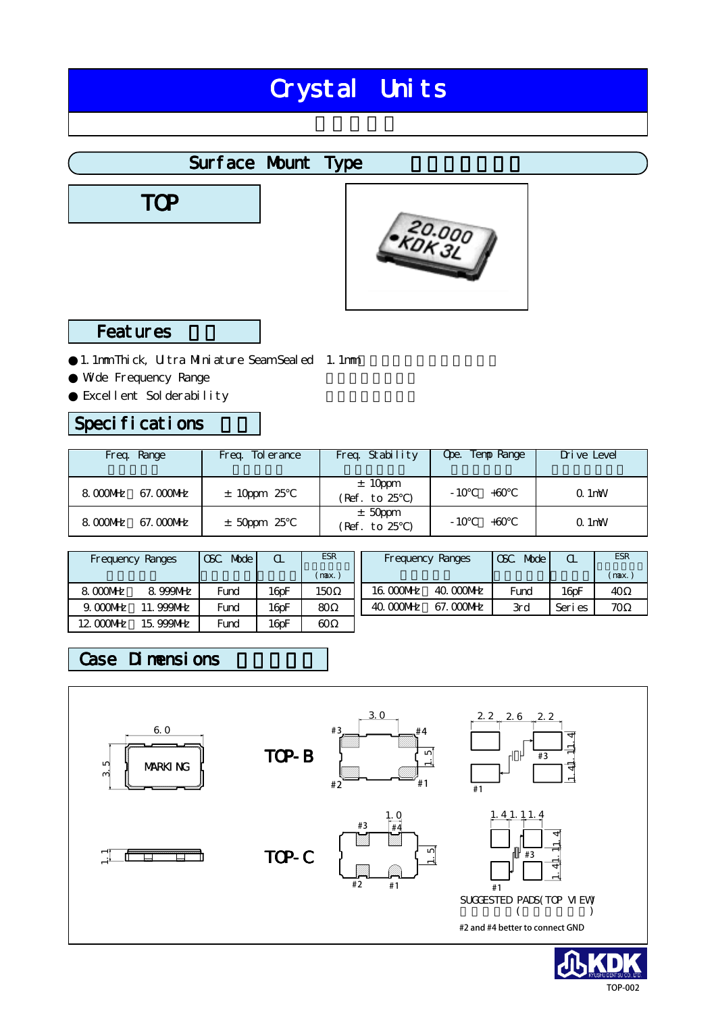# Crystal Units

### Surface Mount Type

TOP



### **Features**

1.1mm Thick, Ultra Miniature Seam Sealed 1.1mm Wide Frequency Range Excellent Solderability

### Specifications

| Freq. Range            | Freq. To erance | Freq. Stability         | Ope. Temp Range | Drive Level |
|------------------------|-----------------|-------------------------|-----------------|-------------|
| 8.000MHz<br>67. OOONHZ | $± 10 ppm$ 25   | ± 10 ppm<br>(Ref. to 25 | $-10$<br>$+60$  | $Q.1$ mW    |
| 8.000MHz<br>67. COONHZ | $±$ 50ppm 25    | $±$ 50ppm<br>Ref. to 25 | $-10$<br>$+60$  | $Q.1$ mW    |

|             | Frequency Ranges | Mode I<br>CSC | Q.                | <b>ESR</b> | Frequency Ranges |            | CSC<br>Mode | $\alpha$            | <b>ESR</b> |
|-------------|------------------|---------------|-------------------|------------|------------------|------------|-------------|---------------------|------------|
|             |                  |               |                   | (max.)     |                  |            |             |                     | (max.      |
| 8.000MHz    | 8.999MHz         | Fund          | 16 <sub>pF</sub>  | 150        | 16.000MHz        | 40.000 MHz | Fund        | $16$ <sub>D</sub> F | 40         |
| $9.000$ MHz | <b>999NHz</b>    | Fund          | 16 <sub>0</sub> F | 80         | 40. COONHZ       | 67. COONHz | 3rd         | Seri es             | 70         |
| 12.0000MHz  | 15.999MHz        | Fund          | 16 <sub>pF</sub>  | 60         |                  |            |             |                     |            |

### Case Dimensions



TOP-002